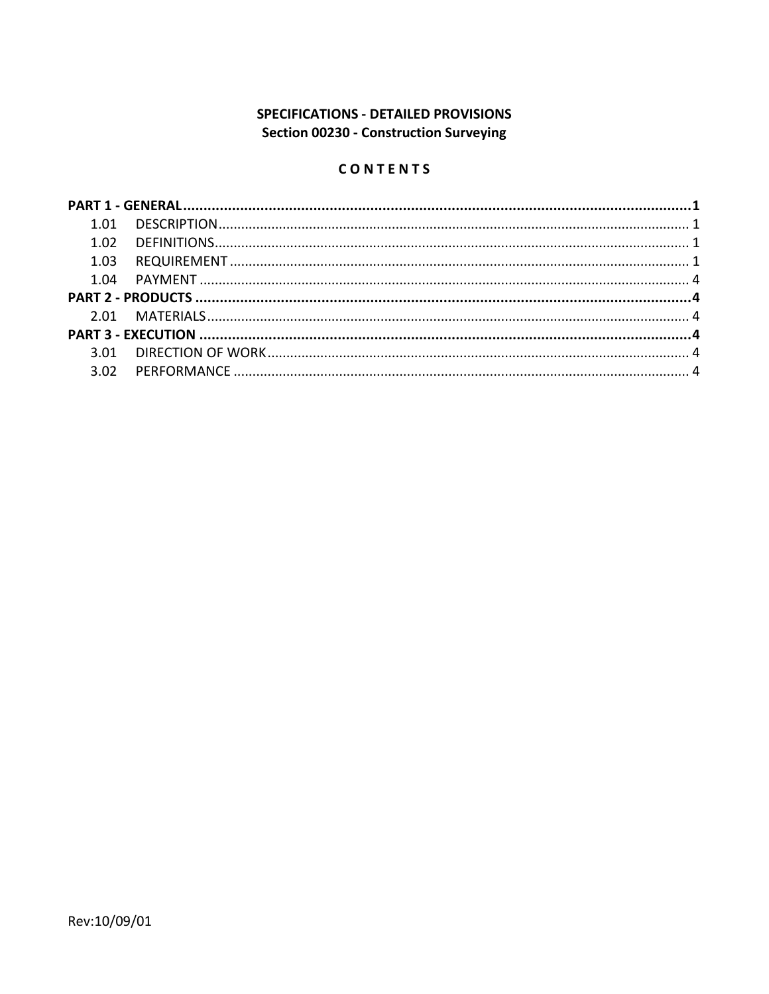# **SPECIFICATIONS - DETAILED PROVISIONS** Section 00230 - Construction Surveying

# CONTENTS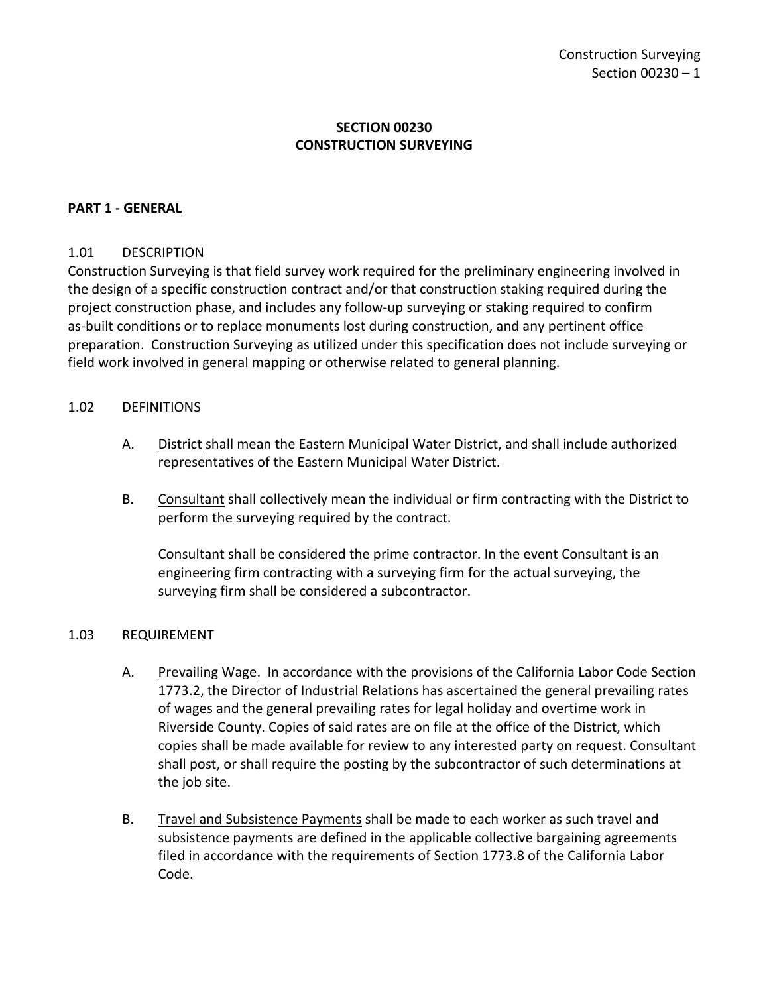# **SECTION 00230 CONSTRUCTION SURVEYING**

## <span id="page-2-0"></span>**PART 1 - GENERAL**

### <span id="page-2-1"></span>1.01 DESCRIPTION

Construction Surveying is that field survey work required for the preliminary engineering involved in the design of a specific construction contract and/or that construction staking required during the project construction phase, and includes any follow-up surveying or staking required to confirm as-built conditions or to replace monuments lost during construction, and any pertinent office preparation. Construction Surveying as utilized under this specification does not include surveying or field work involved in general mapping or otherwise related to general planning.

### <span id="page-2-2"></span>1.02 DEFINITIONS

- A. District shall mean the Eastern Municipal Water District, and shall include authorized representatives of the Eastern Municipal Water District.
- B. Consultant shall collectively mean the individual or firm contracting with the District to perform the surveying required by the contract.

Consultant shall be considered the prime contractor. In the event Consultant is an engineering firm contracting with a surveying firm for the actual surveying, the surveying firm shall be considered a subcontractor.

### <span id="page-2-3"></span>1.03 REQUIREMENT

- A. Prevailing Wage. In accordance with the provisions of the California Labor Code Section 1773.2, the Director of Industrial Relations has ascertained the general prevailing rates of wages and the general prevailing rates for legal holiday and overtime work in Riverside County. Copies of said rates are on file at the office of the District, which copies shall be made available for review to any interested party on request. Consultant shall post, or shall require the posting by the subcontractor of such determinations at the job site.
- B. Travel and Subsistence Payments shall be made to each worker as such travel and subsistence payments are defined in the applicable collective bargaining agreements filed in accordance with the requirements of Section 1773.8 of the California Labor Code.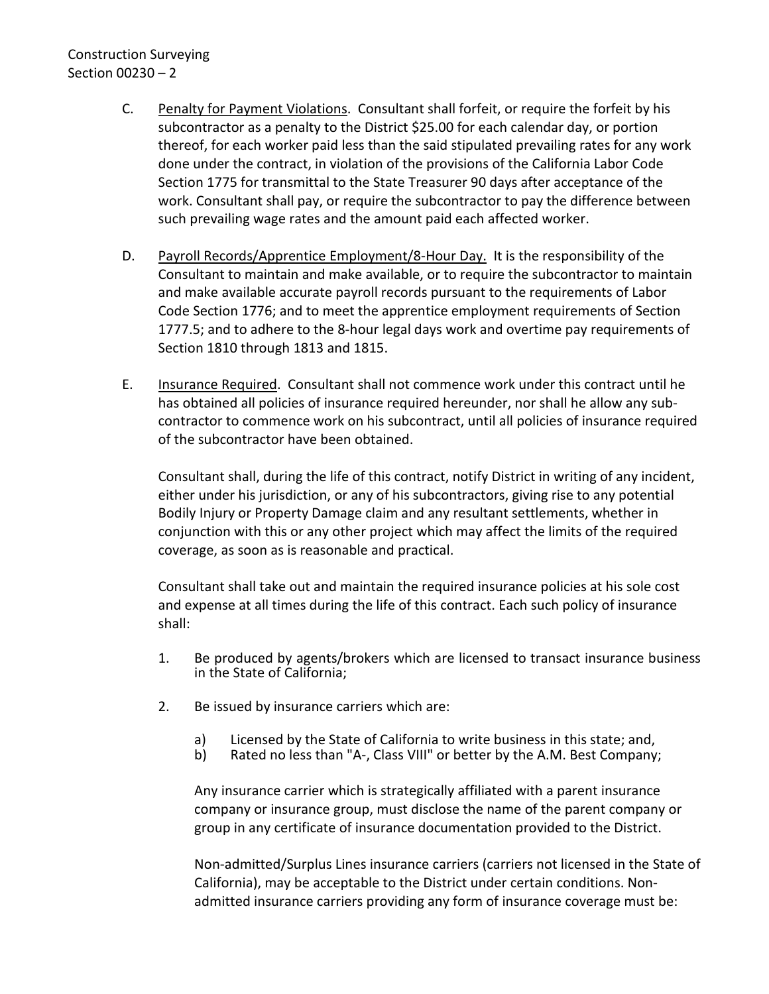# Construction Surveying Section 00230 – 2

- C. Penalty for Payment Violations. Consultant shall forfeit, or require the forfeit by his subcontractor as a penalty to the District \$25.00 for each calendar day, or portion thereof, for each worker paid less than the said stipulated prevailing rates for any work done under the contract, in violation of the provisions of the California Labor Code Section 1775 for transmittal to the State Treasurer 90 days after acceptance of the work. Consultant shall pay, or require the subcontractor to pay the difference between such prevailing wage rates and the amount paid each affected worker.
- D. Payroll Records/Apprentice Employment/8-Hour Day. It is the responsibility of the Consultant to maintain and make available, or to require the subcontractor to maintain and make available accurate payroll records pursuant to the requirements of Labor Code Section 1776; and to meet the apprentice employment requirements of Section 1777.5; and to adhere to the 8-hour legal days work and overtime pay requirements of Section 1810 through 1813 and 1815.
- E. Insurance Required. Consultant shall not commence work under this contract until he has obtained all policies of insurance required hereunder, nor shall he allow any subcontractor to commence work on his subcontract, until all policies of insurance required of the subcontractor have been obtained.

Consultant shall, during the life of this contract, notify District in writing of any incident, either under his jurisdiction, or any of his subcontractors, giving rise to any potential Bodily Injury or Property Damage claim and any resultant settlements, whether in conjunction with this or any other project which may affect the limits of the required coverage, as soon as is reasonable and practical.

Consultant shall take out and maintain the required insurance policies at his sole cost and expense at all times during the life of this contract. Each such policy of insurance shall:

- 1. Be produced by agents/brokers which are licensed to transact insurance business in the State of California;
- 2. Be issued by insurance carriers which are:
	- a) Licensed by the State of California to write business in this state; and,<br>b) Rated no less than "A-. Class VIII" or better by the A.M. Best Company
	- Rated no less than "A-, Class VIII" or better by the A.M. Best Company;

Any insurance carrier which is strategically affiliated with a parent insurance company or insurance group, must disclose the name of the parent company or group in any certificate of insurance documentation provided to the District.

Non-admitted/Surplus Lines insurance carriers (carriers not licensed in the State of California), may be acceptable to the District under certain conditions. Nonadmitted insurance carriers providing any form of insurance coverage must be: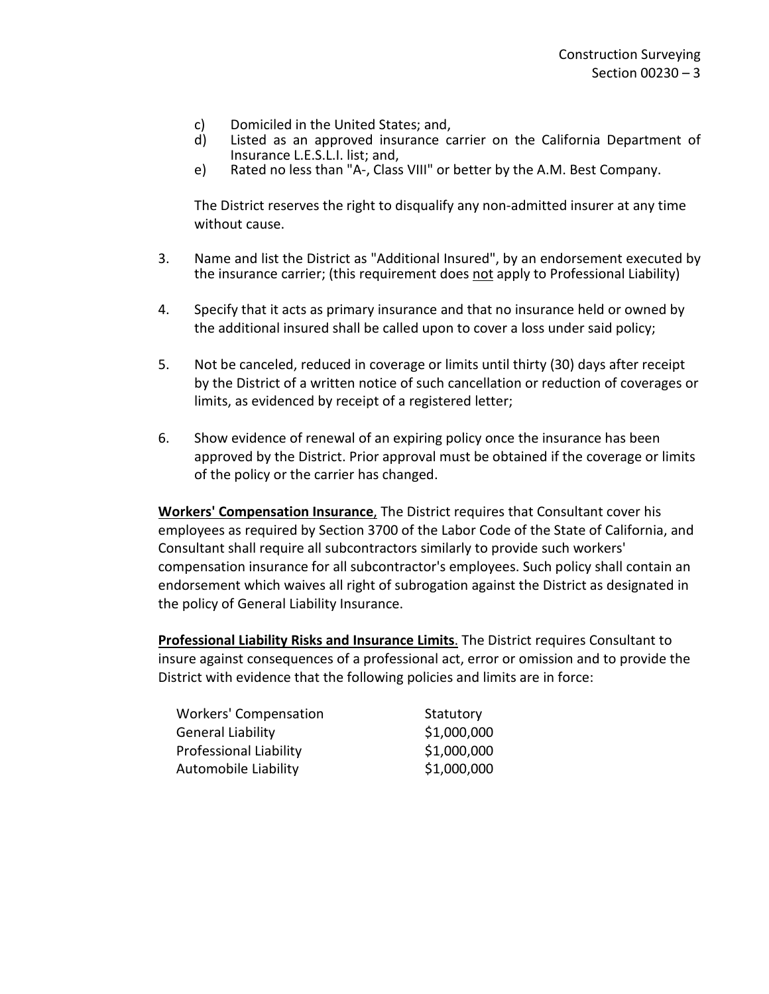- c) Domiciled in the United States; and,
- d) Listed as an approved insurance carrier on the California Department of Insurance L.E.S.L.I. list; and,
- e) Rated no less than "A-, Class VIII" or better by the A.M. Best Company.

The District reserves the right to disqualify any non-admitted insurer at any time without cause.

- 3. Name and list the District as "Additional Insured", by an endorsement executed by the insurance carrier; (this requirement does not apply to Professional Liability)
- 4. Specify that it acts as primary insurance and that no insurance held or owned by the additional insured shall be called upon to cover a loss under said policy;
- 5. Not be canceled, reduced in coverage or limits until thirty (30) days after receipt by the District of a written notice of such cancellation or reduction of coverages or limits, as evidenced by receipt of a registered letter;
- 6. Show evidence of renewal of an expiring policy once the insurance has been approved by the District. Prior approval must be obtained if the coverage or limits of the policy or the carrier has changed.

**Workers' Compensation Insurance**, The District requires that Consultant cover his employees as required by Section 3700 of the Labor Code of the State of California, and Consultant shall require all subcontractors similarly to provide such workers' compensation insurance for all subcontractor's employees. Such policy shall contain an endorsement which waives all right of subrogation against the District as designated in the policy of General Liability Insurance.

**Professional Liability Risks and Insurance Limits**. The District requires Consultant to insure against consequences of a professional act, error or omission and to provide the District with evidence that the following policies and limits are in force:

| <b>Workers' Compensation</b>  | Statutory   |
|-------------------------------|-------------|
| <b>General Liability</b>      | \$1,000,000 |
| <b>Professional Liability</b> | \$1,000,000 |
| Automobile Liability          | \$1,000,000 |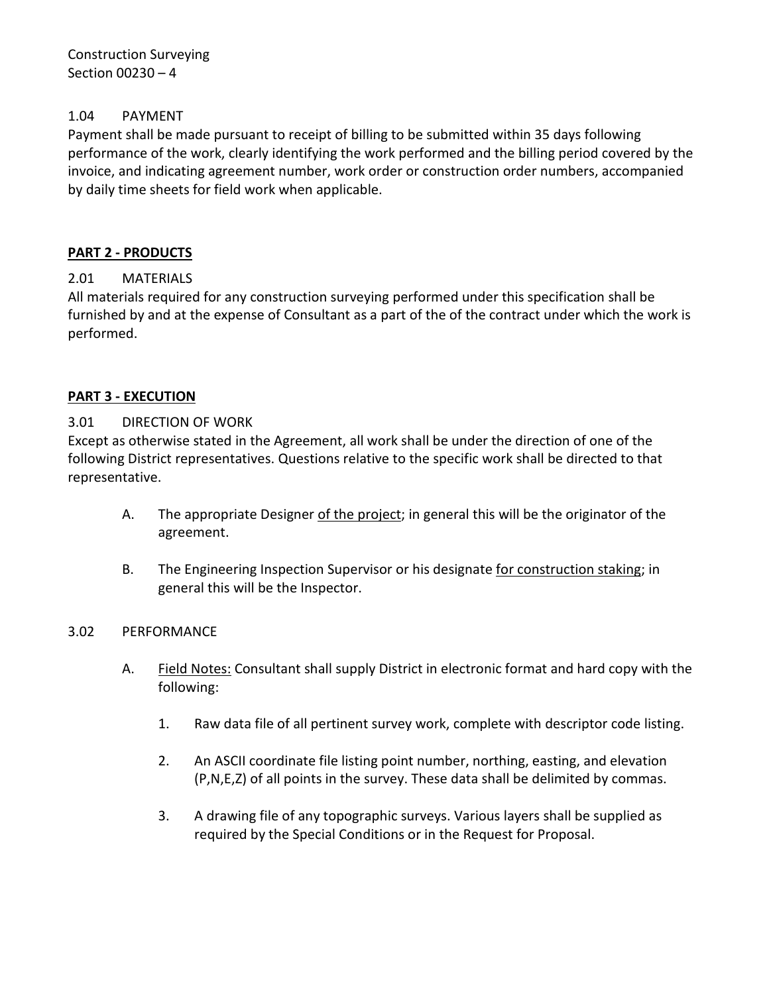Construction Surveying Section 00230 – 4

## <span id="page-5-0"></span>1.04 PAYMENT

Payment shall be made pursuant to receipt of billing to be submitted within 35 days following performance of the work, clearly identifying the work performed and the billing period covered by the invoice, and indicating agreement number, work order or construction order numbers, accompanied by daily time sheets for field work when applicable.

# <span id="page-5-1"></span>**PART 2 - PRODUCTS**

## <span id="page-5-2"></span>2.01 MATERIALS

All materials required for any construction surveying performed under this specification shall be furnished by and at the expense of Consultant as a part of the of the contract under which the work is performed.

## <span id="page-5-3"></span>**PART 3 - EXECUTION**

### <span id="page-5-4"></span>3.01 DIRECTION OF WORK

Except as otherwise stated in the Agreement, all work shall be under the direction of one of the following District representatives. Questions relative to the specific work shall be directed to that representative.

- A. The appropriate Designer of the project; in general this will be the originator of the agreement.
- B. The Engineering Inspection Supervisor or his designate for construction staking; in general this will be the Inspector.

### <span id="page-5-5"></span>3.02 PERFORMANCE

- A. Field Notes: Consultant shall supply District in electronic format and hard copy with the following:
	- 1. Raw data file of all pertinent survey work, complete with descriptor code listing.
	- 2. An ASCII coordinate file listing point number, northing, easting, and elevation (P,N,E,Z) of all points in the survey. These data shall be delimited by commas.
	- 3. A drawing file of any topographic surveys. Various layers shall be supplied as required by the Special Conditions or in the Request for Proposal.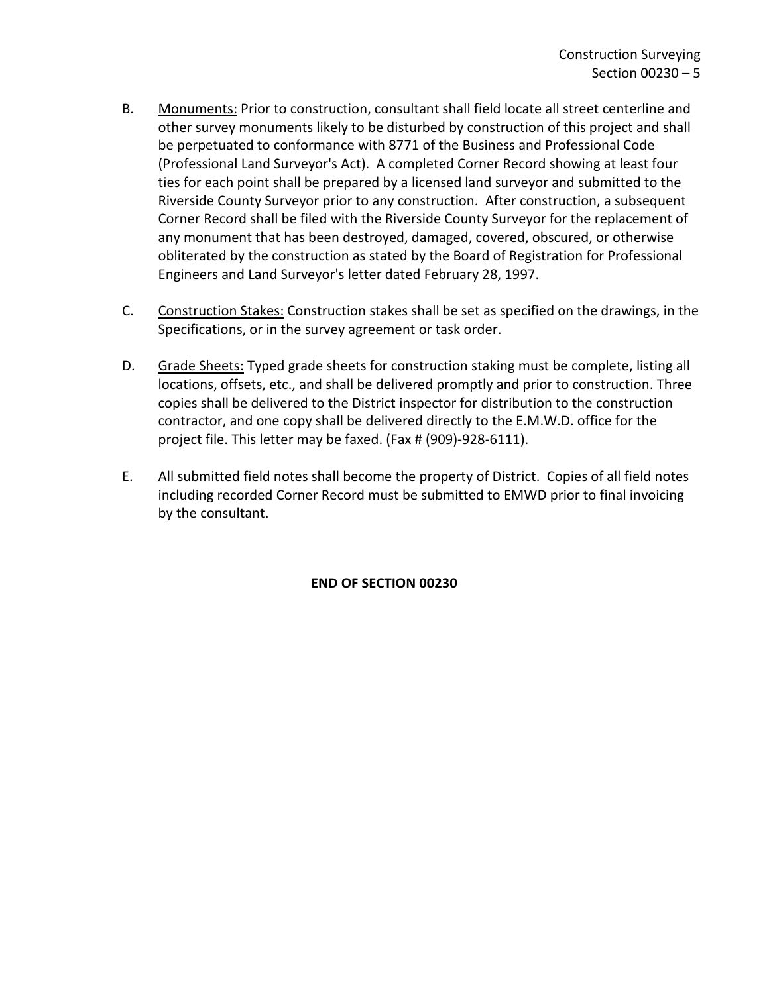- B. Monuments: Prior to construction, consultant shall field locate all street centerline and other survey monuments likely to be disturbed by construction of this project and shall be perpetuated to conformance with 8771 of the Business and Professional Code (Professional Land Surveyor's Act). A completed Corner Record showing at least four ties for each point shall be prepared by a licensed land surveyor and submitted to the Riverside County Surveyor prior to any construction. After construction, a subsequent Corner Record shall be filed with the Riverside County Surveyor for the replacement of any monument that has been destroyed, damaged, covered, obscured, or otherwise obliterated by the construction as stated by the Board of Registration for Professional Engineers and Land Surveyor's letter dated February 28, 1997.
- C. Construction Stakes: Construction stakes shall be set as specified on the drawings, in the Specifications, or in the survey agreement or task order.
- D. Grade Sheets: Typed grade sheets for construction staking must be complete, listing all locations, offsets, etc., and shall be delivered promptly and prior to construction. Three copies shall be delivered to the District inspector for distribution to the construction contractor, and one copy shall be delivered directly to the E.M.W.D. office for the project file. This letter may be faxed. (Fax # (909)-928-6111).
- E. All submitted field notes shall become the property of District. Copies of all field notes including recorded Corner Record must be submitted to EMWD prior to final invoicing by the consultant.

**END OF SECTION 00230**